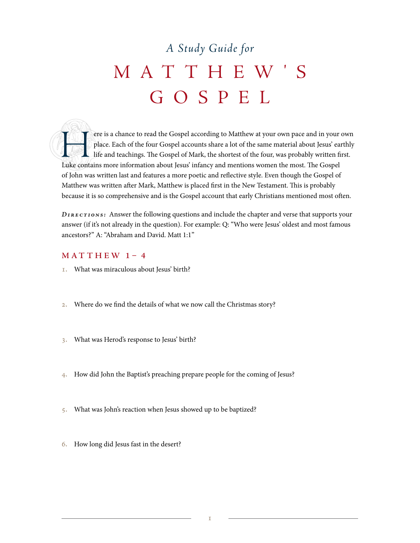# *A Study Guide for* MATTHEW ' S GOSPEL

ere is a chance to read the Gospel according to Matthew at your own pace and in your own<br>place. Each of the four Gospel accounts share a lot of the same material about Jesus' earthly<br>life and teachings. The Gospel of Mark, place. Each of the four Gospel accounts share a lot of the same material about Jesus' earthly life and teachings. The Gospel of Mark, the shortest of the four, was probably written first. Luke contains more information about Jesus' infancy and mentions women the most. The Gospel of John was written last and features a more poetic and reflective style. Even though the Gospel of Matthew was written after Mark, Matthew is placed first in the New Testament. This is probably because it is so comprehensive and is the Gospel account that early Christians mentioned most often.

*Directions:* Answer the following questions and include the chapter and verse that supports your answer (if it's not already in the question). For example: Q: "Who were Jesus' oldest and most famous ancestors?" A: "Abraham and David. Matt 1:1"

#### **MAT THEW 1– 4**

- 1. What was miraculous about Jesus' birth?
- 2. Where do we find the details of what we now call the Christmas story?
- 3. What was Herod's response to Jesus' birth?
- 4. How did John the Baptist's preaching prepare people for the coming of Jesus?
- 5. What was John's reaction when Jesus showed up to be baptized?
- 6. How long did Jesus fast in the desert?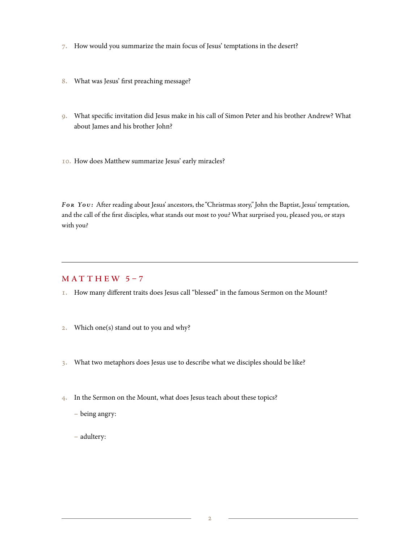- 7. How would you summarize the main focus of Jesus' temptations in the desert?
- 8. What was Jesus' first preaching message?
- 9. What specific invitation did Jesus make in his call of Simon Peter and his brother Andrew? What about James and his brother John?
- 10. How does Matthew summarize Jesus' early miracles?

*For You :* After reading about Jesus' ancestors, the "Christmas story," John the Baptist, Jesus' temptation, and the call of the first disciples, what stands out most to you? What surprised you, pleased you, or stays with you?

#### **MAT THEW 5–7**

- 1. How many different traits does Jesus call "blessed" in the famous Sermon on the Mount?
- 2. Which one(s) stand out to you and why?
- 3. What two metaphors does Jesus use to describe what we disciples should be like?
- 4. In the Sermon on the Mount, what does Jesus teach about these topics?
	- − being angry:
	- − adultery: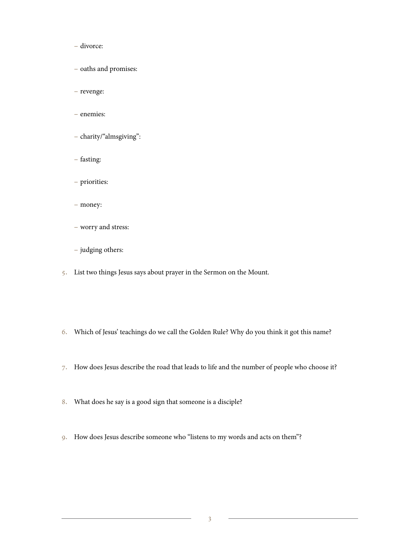- − divorce:
- − oaths and promises:
- − revenge:
- − enemies:
- − charity/"almsgiving":
- − fasting:
- − priorities:
- − money:
- − worry and stress:
- − judging others:
- 5. List two things Jesus says about prayer in the Sermon on the Mount.
- 6. Which of Jesus' teachings do we call the Golden Rule? Why do you think it got this name?
- 7. How does Jesus describe the road that leads to life and the number of people who choose it?
- 8. What does he say is a good sign that someone is a disciple?
- 9. How does Jesus describe someone who "listens to my words and acts on them"?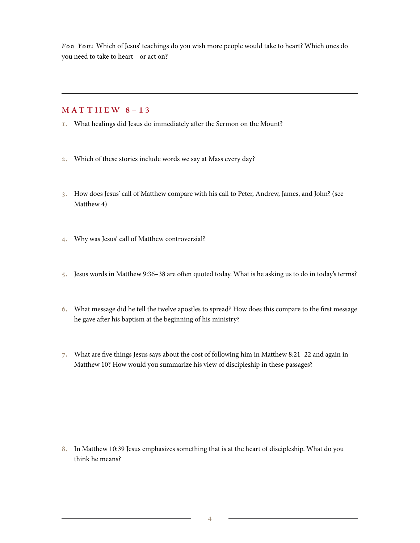*For You :* Which of Jesus' teachings do you wish more people would take to heart? Which ones do you need to take to heart—or act on?

## **MAT THEW 8–13**

- 1. What healings did Jesus do immediately after the Sermon on the Mount?
- 2. Which of these stories include words we say at Mass every day?
- 3. How does Jesus' call of Matthew compare with his call to Peter, Andrew, James, and John? (see Matthew 4)
- 4. Why was Jesus' call of Matthew controversial?
- 5. Jesus words in Matthew 9:36–38 are often quoted today. What is he asking us to do in today's terms?
- 6. What message did he tell the twelve apostles to spread? How does this compare to the first message he gave after his baptism at the beginning of his ministry?
- 7. What are five things Jesus says about the cost of following him in Matthew 8:21–22 and again in Matthew 10? How would you summarize his view of discipleship in these passages?

8. In Matthew 10:39 Jesus emphasizes something that is at the heart of discipleship. What do you think he means?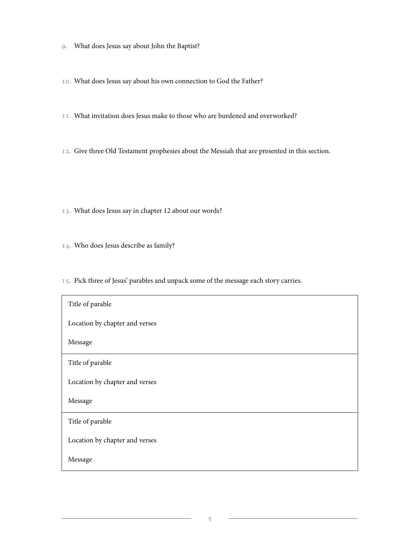- 9. What does Jesus say about John the Baptist?
- 10. What does Jesus say about his own connection to God the Father?
- 11. What invitation does Jesus make to those who are burdened and overworked?
- 12. Give three Old Testament prophesies about the Messiah that are presented in this section.
- 13. What does Jesus say in chapter 12 about our words?
- 14. Who does Jesus describe as family?
- 15. Pick three of Jesus' parables and unpack some of the message each story carries.

| Title of parable               |
|--------------------------------|
| Location by chapter and verses |
| Message                        |
| Title of parable               |
| Location by chapter and verses |
| Message                        |
| Title of parable               |
| Location by chapter and verses |
| Message                        |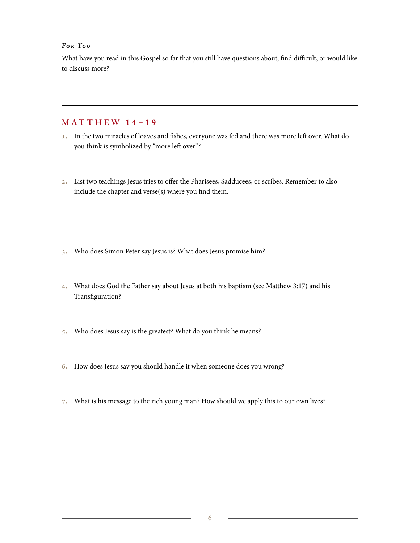#### *For You*

What have you read in this Gospel so far that you still have questions about, find difficult, or would like to discuss more?

### **MAT THEW 14–19**

- 1. In the two miracles of loaves and fishes, everyone was fed and there was more left over. What do you think is symbolized by "more left over"?
- 2. List two teachings Jesus tries to offer the Pharisees, Sadducees, or scribes. Remember to also include the chapter and verse(s) where you find them.
- 3. Who does Simon Peter say Jesus is? What does Jesus promise him?
- 4. What does God the Father say about Jesus at both his baptism (see Matthew 3:17) and his Transfiguration?
- 5. Who does Jesus say is the greatest? What do you think he means?
- 6. How does Jesus say you should handle it when someone does you wrong?
- 7. What is his message to the rich young man? How should we apply this to our own lives?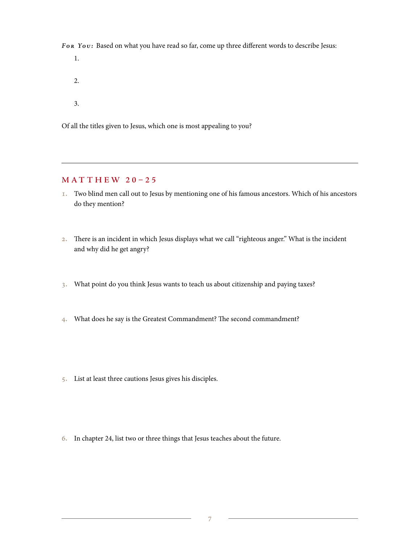For You: Based on what you have read so far, come up three different words to describe Jesus:

1. 2. 3.

Of all the titles given to Jesus, which one is most appealing to you?

#### **MAT THEW 20–25**

- 1. Two blind men call out to Jesus by mentioning one of his famous ancestors. Which of his ancestors do they mention?
- 2. There is an incident in which Jesus displays what we call "righteous anger." What is the incident and why did he get angry?
- 3. What point do you think Jesus wants to teach us about citizenship and paying taxes?
- 4. What does he say is the Greatest Commandment? The second commandment?
- 5. List at least three cautions Jesus gives his disciples.
- 6. In chapter 24, list two or three things that Jesus teaches about the future.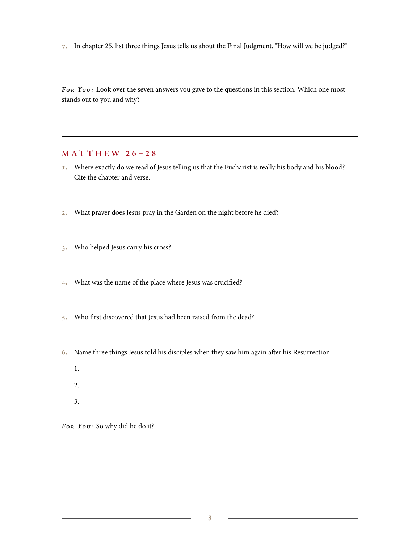7. In chapter 25, list three things Jesus tells us about the Final Judgment. "How will we be judged?"

For You: Look over the seven answers you gave to the questions in this section. Which one most stands out to you and why?

#### **MAT THEW 26–28**

- 1. Where exactly do we read of Jesus telling us that the Eucharist is really his body and his blood? Cite the chapter and verse.
- 2. What prayer does Jesus pray in the Garden on the night before he died?
- 3. Who helped Jesus carry his cross?
- 4. What was the name of the place where Jesus was crucified?
- 5. Who first discovered that Jesus had been raised from the dead?
- 6. Name three things Jesus told his disciples when they saw him again after his Resurrection
	- 1.
	- 2.
	- 3.

For You: So why did he do it?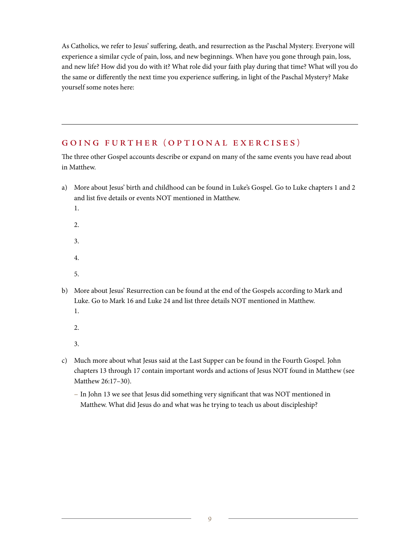As Catholics, we refer to Jesus' suffering, death, and resurrection as the Paschal Mystery. Everyone will experience a similar cycle of pain, loss, and new beginnings. When have you gone through pain, loss, and new life? How did you do with it? What role did your faith play during that time? What will you do the same or differently the next time you experience suffering, in light of the Paschal Mystery? Make yourself some notes here:

# **GOING FURTHER (OPTIONAL EXERCISES)**

The three other Gospel accounts describe or expand on many of the same events you have read about in Matthew.

- a) More about Jesus' birth and childhood can be found in Luke's Gospel. Go to Luke chapters 1 and 2 and list five details or events NOT mentioned in Matthew.
	- 1.
	- 2.
	- 3.
	- 4.
	- 5.
- b) More about Jesus' Resurrection can be found at the end of the Gospels according to Mark and Luke. Go to Mark 16 and Luke 24 and list three details NOT mentioned in Matthew.
	- 1.
	- 2.

3.

- c) Much more about what Jesus said at the Last Supper can be found in the Fourth Gospel. John chapters 13 through 17 contain important words and actions of Jesus NOT found in Matthew (see Matthew 26:17–30).
	- − In John 13 we see that Jesus did something very significant that was NOT mentioned in Matthew. What did Jesus do and what was he trying to teach us about discipleship?